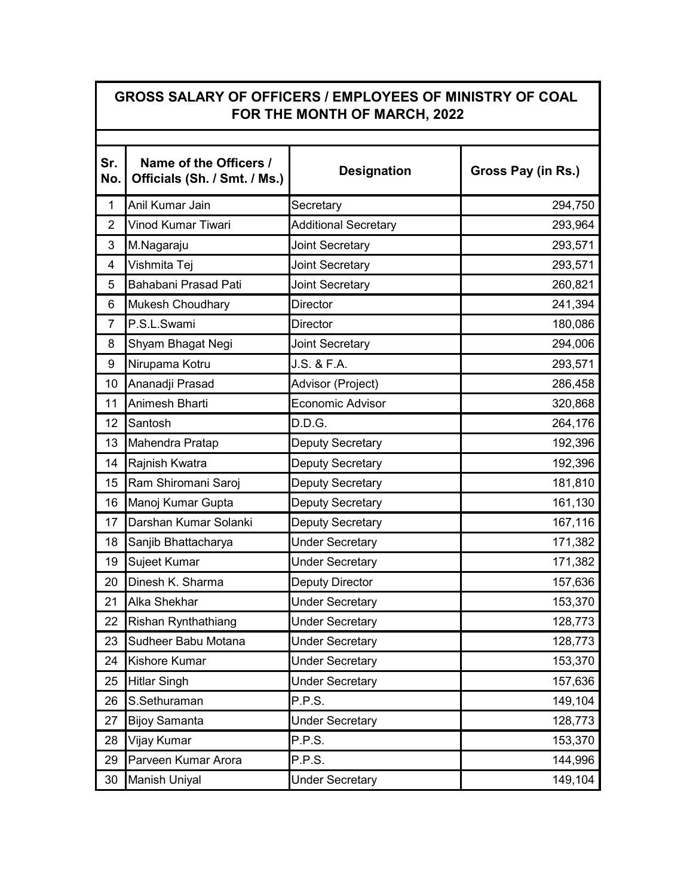## **GROSS SALARY OF OFFICERS / EMPLOYEES OF MINISTRY OF COAL FOR THE MONTH OF MARCH, 2022**

| Sr.<br>No.     | Name of the Officers /<br>Officials (Sh. / Smt. / Ms.) | <b>Designation</b>          | Gross Pay (in Rs.) |
|----------------|--------------------------------------------------------|-----------------------------|--------------------|
| $\mathbf{1}$   | Anil Kumar Jain                                        | Secretary                   | 294,750            |
| $\overline{2}$ | Vinod Kumar Tiwari                                     | <b>Additional Secretary</b> | 293,964            |
| 3              | M.Nagaraju                                             | <b>Joint Secretary</b>      | 293,571            |
| 4              | Vishmita Tej                                           | <b>Joint Secretary</b>      | 293,571            |
| 5              | Bahabani Prasad Pati                                   | <b>Joint Secretary</b>      | 260,821            |
| 6              | <b>Mukesh Choudhary</b>                                | <b>Director</b>             | 241,394            |
| $\overline{7}$ | P.S.L.Swami                                            | Director                    | 180,086            |
| 8              | Shyam Bhagat Negi                                      | <b>Joint Secretary</b>      | 294,006            |
| 9              | Nirupama Kotru                                         | J.S. & F.A.                 | 293,571            |
| 10             | Ananadji Prasad                                        | Advisor (Project)           | 286,458            |
| 11             | Animesh Bharti                                         | <b>Economic Advisor</b>     | 320,868            |
| 12             | Santosh                                                | D.D.G.                      | 264,176            |
| 13             | Mahendra Pratap                                        | Deputy Secretary            | 192,396            |
| 14             | Rajnish Kwatra                                         | Deputy Secretary            | 192,396            |
| 15             | Ram Shiromani Saroj                                    | Deputy Secretary            | 181,810            |
| 16             | Manoj Kumar Gupta                                      | Deputy Secretary            | 161,130            |
| 17             | Darshan Kumar Solanki                                  | <b>Deputy Secretary</b>     | 167,116            |
| 18             | Sanjib Bhattacharya                                    | <b>Under Secretary</b>      | 171,382            |
| 19             | Sujeet Kumar                                           | <b>Under Secretary</b>      | 171,382            |
| 20             | Dinesh K. Sharma                                       | <b>Deputy Director</b>      | 157,636            |
| 21             | Alka Shekhar                                           | <b>Under Secretary</b>      | 153,370            |
| 22             | <b>Rishan Rynthathiang</b>                             | <b>Under Secretary</b>      | 128,773            |
| 23             | Sudheer Babu Motana                                    | <b>Under Secretary</b>      | 128,773            |
| 24             | Kishore Kumar                                          | <b>Under Secretary</b>      | 153,370            |
| 25             | <b>Hitlar Singh</b>                                    | <b>Under Secretary</b>      | 157,636            |
| 26             | S.Sethuraman                                           | P.P.S.                      | 149,104            |
| 27             | <b>Bijoy Samanta</b>                                   | <b>Under Secretary</b>      | 128,773            |
| 28             | Vijay Kumar                                            | P.P.S.                      | 153,370            |
| 29             | Parveen Kumar Arora                                    | P.P.S.                      | 144,996            |
| 30             | <b>Manish Uniyal</b>                                   | <b>Under Secretary</b>      | 149,104            |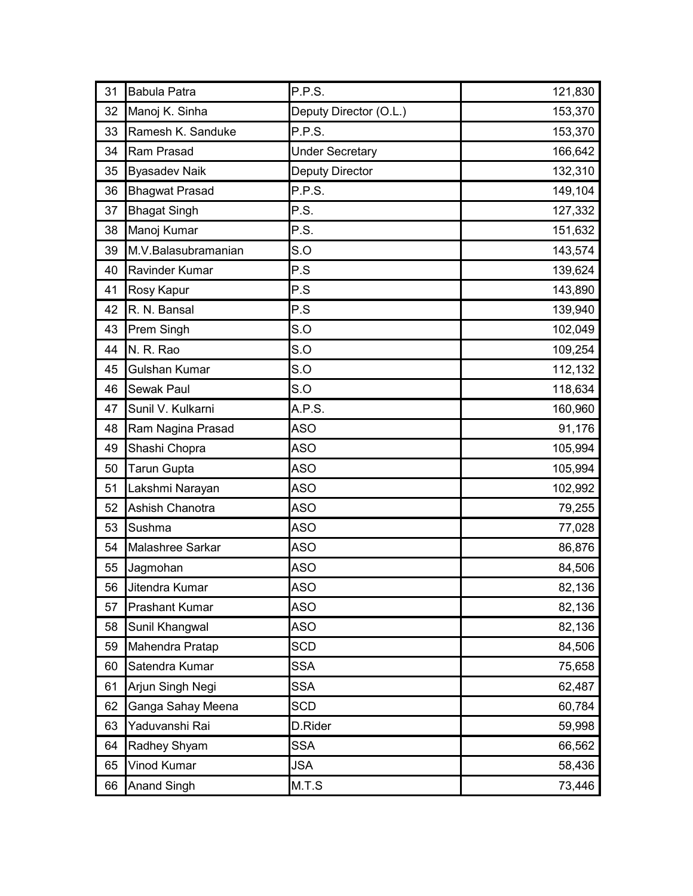| 31 | <b>Babula Patra</b>   | P.P.S.                 | 121,830 |
|----|-----------------------|------------------------|---------|
| 32 | Manoj K. Sinha        | Deputy Director (O.L.) | 153,370 |
| 33 | Ramesh K. Sanduke     | P.P.S.                 | 153,370 |
| 34 | Ram Prasad            | <b>Under Secretary</b> | 166,642 |
| 35 | <b>Byasadev Naik</b>  | <b>Deputy Director</b> | 132,310 |
| 36 | <b>Bhagwat Prasad</b> | P.P.S.                 | 149,104 |
| 37 | <b>Bhagat Singh</b>   | P.S.                   | 127,332 |
| 38 | Manoj Kumar           | P.S.                   | 151,632 |
| 39 | M.V.Balasubramanian   | S.O                    | 143,574 |
| 40 | Ravinder Kumar        | P.S                    | 139,624 |
| 41 | Rosy Kapur            | P.S                    | 143,890 |
| 42 | R. N. Bansal          | P.S                    | 139,940 |
| 43 | Prem Singh            | S.O                    | 102,049 |
| 44 | N. R. Rao             | S.O                    | 109,254 |
| 45 | Gulshan Kumar         | S.O                    | 112,132 |
| 46 | Sewak Paul            | S.O                    | 118,634 |
| 47 | Sunil V. Kulkarni     | A.P.S.                 | 160,960 |
| 48 | Ram Nagina Prasad     | ASO                    | 91,176  |
| 49 | Shashi Chopra         | <b>ASO</b>             | 105,994 |
| 50 | <b>Tarun Gupta</b>    | <b>ASO</b>             | 105,994 |
| 51 | Lakshmi Narayan       | ASO                    | 102,992 |
| 52 | Ashish Chanotra       | ASO                    | 79,255  |
| 53 | Sushma                | <b>ASO</b>             | 77,028  |
| 54 | Malashree Sarkar      | ASO                    | 86,876  |
| 55 | Jagmohan              | ASO                    | 84,506  |
| 56 | Jitendra Kumar        | ASO                    | 82,136  |
| 57 | Prashant Kumar        | ASO                    | 82,136  |
| 58 | Sunil Khangwal        | ASO                    | 82,136  |
| 59 | Mahendra Pratap       | <b>SCD</b>             | 84,506  |
| 60 | Satendra Kumar        | <b>SSA</b>             | 75,658  |
| 61 | Arjun Singh Negi      | <b>SSA</b>             | 62,487  |
| 62 | Ganga Sahay Meena     | <b>SCD</b>             | 60,784  |
| 63 | Yaduvanshi Rai        | D.Rider                | 59,998  |
| 64 | Radhey Shyam          | <b>SSA</b>             | 66,562  |
| 65 | Vinod Kumar           | JSA                    | 58,436  |
| 66 | <b>Anand Singh</b>    | M.T.S                  | 73,446  |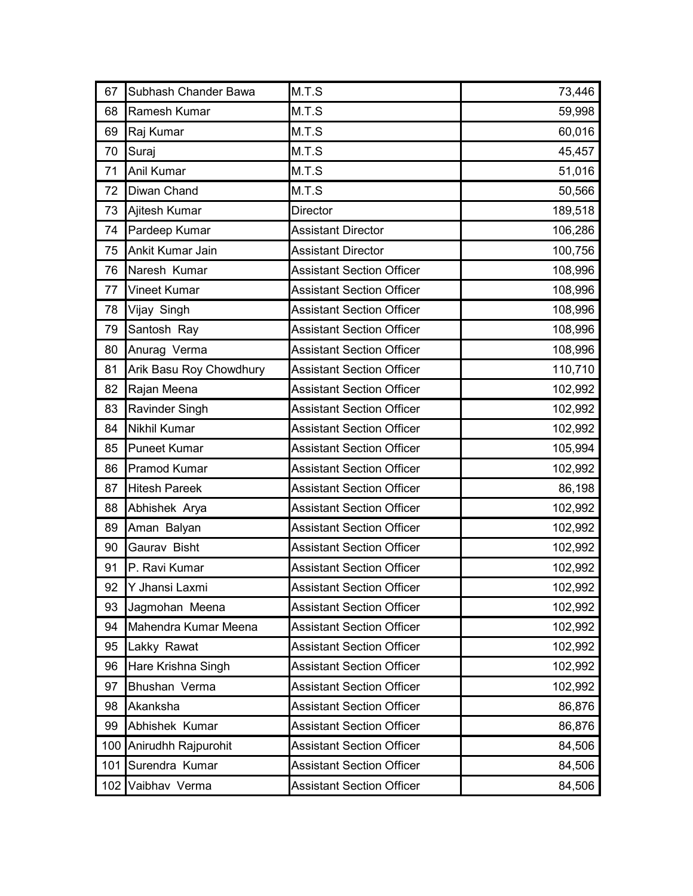| 67  | Subhash Chander Bawa    | M.T.S                            | 73,446  |
|-----|-------------------------|----------------------------------|---------|
| 68  | Ramesh Kumar            | M.T.S                            | 59,998  |
| 69  | Raj Kumar               | M.T.S                            | 60,016  |
| 70  | Suraj                   | M.T.S                            | 45,457  |
| 71  | Anil Kumar              | M.T.S                            | 51,016  |
| 72  | Diwan Chand             | M.T.S                            | 50,566  |
| 73  | Ajitesh Kumar           | Director                         | 189,518 |
| 74  | Pardeep Kumar           | <b>Assistant Director</b>        | 106,286 |
| 75  | Ankit Kumar Jain        | <b>Assistant Director</b>        | 100,756 |
| 76  | Naresh Kumar            | <b>Assistant Section Officer</b> | 108,996 |
| 77  | <b>Vineet Kumar</b>     | <b>Assistant Section Officer</b> | 108,996 |
| 78  | Vijay Singh             | <b>Assistant Section Officer</b> | 108,996 |
| 79  | Santosh Ray             | <b>Assistant Section Officer</b> | 108,996 |
| 80  | Anurag Verma            | <b>Assistant Section Officer</b> | 108,996 |
| 81  | Arik Basu Roy Chowdhury | <b>Assistant Section Officer</b> | 110,710 |
| 82  | Rajan Meena             | <b>Assistant Section Officer</b> | 102,992 |
| 83  | Ravinder Singh          | <b>Assistant Section Officer</b> | 102,992 |
| 84  | <b>Nikhil Kumar</b>     | <b>Assistant Section Officer</b> | 102,992 |
| 85  | <b>Puneet Kumar</b>     | <b>Assistant Section Officer</b> | 105,994 |
| 86  | <b>Pramod Kumar</b>     | <b>Assistant Section Officer</b> | 102,992 |
| 87  | <b>Hitesh Pareek</b>    | <b>Assistant Section Officer</b> | 86,198  |
| 88  | Abhishek Arya           | <b>Assistant Section Officer</b> | 102,992 |
| 89  | Aman Balyan             | <b>Assistant Section Officer</b> | 102,992 |
| 90  | Gaurav Bisht            | <b>Assistant Section Officer</b> | 102,992 |
| 91  | P. Ravi Kumar           | <b>Assistant Section Officer</b> | 102,992 |
| 92  | Y Jhansi Laxmi          | <b>Assistant Section Officer</b> | 102,992 |
| 93  | Jagmohan Meena          | <b>Assistant Section Officer</b> | 102,992 |
| 94  | Mahendra Kumar Meena    | <b>Assistant Section Officer</b> | 102,992 |
| 95  | Lakky Rawat             | <b>Assistant Section Officer</b> | 102,992 |
| 96  | Hare Krishna Singh      | <b>Assistant Section Officer</b> | 102,992 |
| 97  | Bhushan Verma           | <b>Assistant Section Officer</b> | 102,992 |
| 98  | Akanksha                | <b>Assistant Section Officer</b> | 86,876  |
| 99  | Abhishek Kumar          | <b>Assistant Section Officer</b> | 86,876  |
| 100 | Anirudhh Rajpurohit     | <b>Assistant Section Officer</b> | 84,506  |
| 101 | Surendra Kumar          | <b>Assistant Section Officer</b> | 84,506  |
| 102 | Vaibhav Verma           | <b>Assistant Section Officer</b> | 84,506  |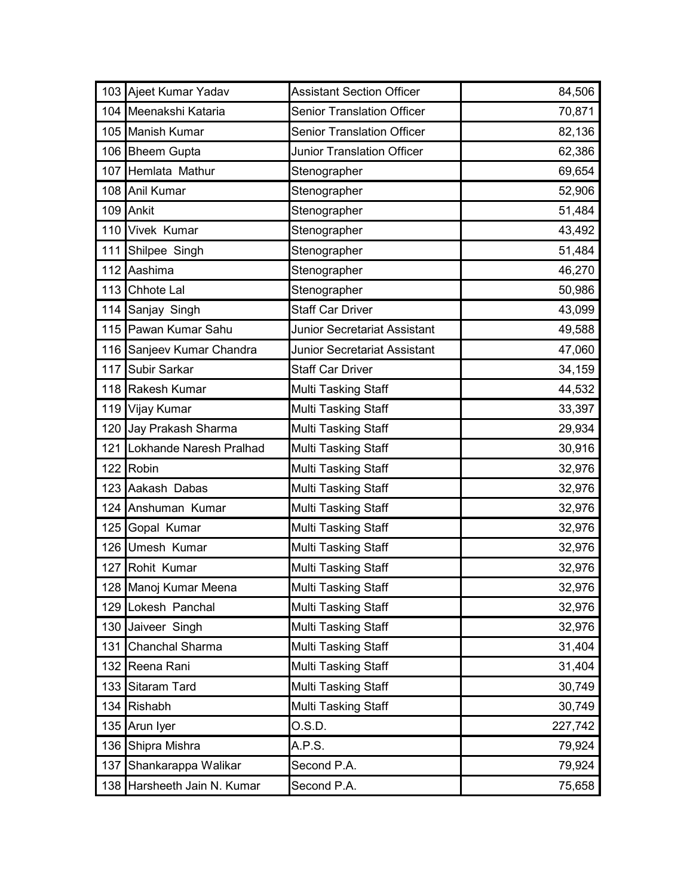|     | 103 Ajeet Kumar Yadav   | <b>Assistant Section Officer</b>  | 84,506  |
|-----|-------------------------|-----------------------------------|---------|
|     | 104 Meenakshi Kataria   | <b>Senior Translation Officer</b> | 70,871  |
|     | 105 Manish Kumar        | <b>Senior Translation Officer</b> | 82,136  |
|     | 106 Bheem Gupta         | Junior Translation Officer        | 62,386  |
| 107 | Hemlata Mathur          | Stenographer                      | 69,654  |
|     | 108 Anil Kumar          | Stenographer                      | 52,906  |
|     | 109 Ankit               | Stenographer                      | 51,484  |
|     | 110 Vivek Kumar         | Stenographer                      | 43,492  |
| 111 | Shilpee Singh           | Stenographer                      | 51,484  |
| 112 | Aashima                 | Stenographer                      | 46,270  |
| 113 | Chhote Lal              | Stenographer                      | 50,986  |
| 114 | Sanjay Singh            | <b>Staff Car Driver</b>           | 43,099  |
| 115 | Pawan Kumar Sahu        | Junior Secretariat Assistant      | 49,588  |
| 116 | Sanjeev Kumar Chandra   | Junior Secretariat Assistant      | 47,060  |
| 117 | Subir Sarkar            | <b>Staff Car Driver</b>           | 34,159  |
|     | 118 Rakesh Kumar        | Multi Tasking Staff               | 44,532  |
| 119 | Vijay Kumar             | <b>Multi Tasking Staff</b>        | 33,397  |
|     | 120 Jay Prakash Sharma  | Multi Tasking Staff               | 29,934  |
| 121 | Lokhande Naresh Pralhad | Multi Tasking Staff               | 30,916  |
| 122 | Robin                   | <b>Multi Tasking Staff</b>        | 32,976  |
| 123 | Aakash Dabas            | Multi Tasking Staff               | 32,976  |
| 124 | Anshuman Kumar          | Multi Tasking Staff               | 32,976  |
| 125 | Gopal Kumar             | <b>Multi Tasking Staff</b>        | 32,976  |
| 126 | <b>Umesh Kumar</b>      | Multi Tasking Staff               | 32,976  |
|     | 127 Rohit Kumar         | <b>Multi Tasking Staff</b>        | 32,976  |
|     | 128 Manoj Kumar Meena   | Multi Tasking Staff               | 32,976  |
| 129 | Lokesh Panchal          | Multi Tasking Staff               | 32,976  |
| 130 | Jaiveer Singh           | Multi Tasking Staff               | 32,976  |
| 131 | Chanchal Sharma         | Multi Tasking Staff               | 31,404  |
| 132 | Reena Rani              | <b>Multi Tasking Staff</b>        | 31,404  |
| 133 | <b>Sitaram Tard</b>     | Multi Tasking Staff               | 30,749  |
| 134 | Rishabh                 | <b>Multi Tasking Staff</b>        | 30,749  |
| 135 | Arun Iyer               | 0.S.D.                            | 227,742 |
| 136 | Shipra Mishra           | A.P.S.                            | 79,924  |
| 137 | Shankarappa Walikar     | Second P.A.                       | 79,924  |
| 138 | Harsheeth Jain N. Kumar | Second P.A.                       | 75,658  |